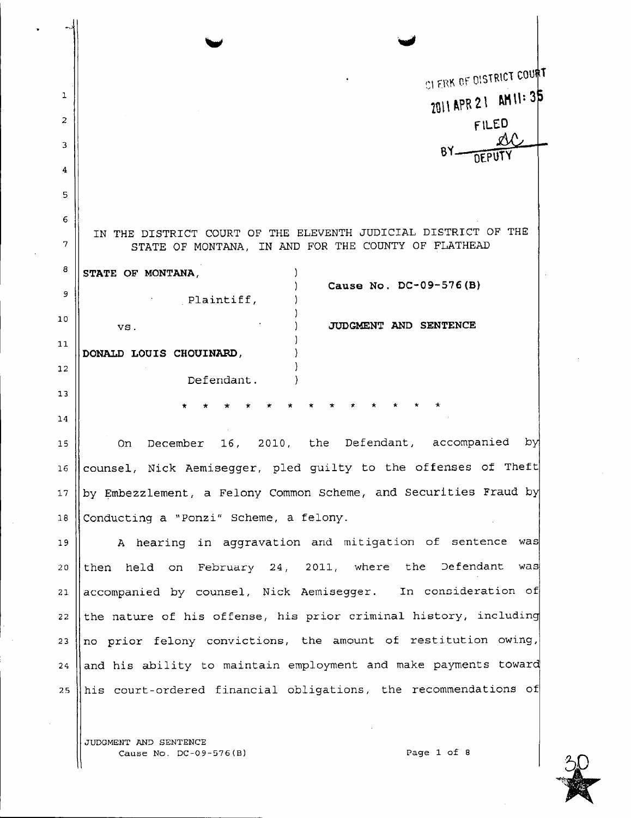| 1           | CLERK OF DISTRICT COURT                                                                                               |
|-------------|-----------------------------------------------------------------------------------------------------------------------|
| 2           | 2011 APR 21 AM 11: 35                                                                                                 |
| 3           | FILED                                                                                                                 |
|             |                                                                                                                       |
| 4<br>5      |                                                                                                                       |
| 6           |                                                                                                                       |
| 7           | IN THE DISTRICT COURT OF THE ELEVENTH JUDICIAL DISTRICT OF THE<br>STATE OF MONTANA, IN AND FOR THE COUNTY OF FLATHEAD |
| 8           | STATE OF MONTANA,                                                                                                     |
| 9           | Cause No. DC-09-576(B)<br>Plaintiff,                                                                                  |
| 10          | JUDGMENT AND SENTENCE<br>VS.                                                                                          |
| 11          | DONALD LOUIS CHOUINARD,                                                                                               |
| 12          | Defendant.                                                                                                            |
| 13          |                                                                                                                       |
| 14          |                                                                                                                       |
| 15          | 16, 2010, the Defendant, accompanied<br>- py<br>December<br>On.                                                       |
| 16          | counsel, Nick Aemisegger, pled guilty to the offenses of Theft                                                        |
| $^{\rm 17}$ | by Embezzlement, a Felony Common Scheme, and Securities Fraud by                                                      |
| $18\,$      | Conducting a "Ponzi" Scheme, a felony.                                                                                |
| 19          | A hearing in aggravation and mitigation of sentence was                                                               |
| 20          | then held on February 24, 2011, where the Defendant<br>was                                                            |
| 21          | accompanied by counsel, Nick Aemisegger. In consideration of                                                          |
| 22          | the nature of his offense, his prior criminal history, including                                                      |
| 23          | no prior felony convictions, the amount of restitution owing,                                                         |
| 24          | and his ability to maintain employment and make payments toward                                                       |
| 2.5         | his court-ordered financial obligations, the recommendations of                                                       |

JUDGMENT AND SENTENCE Cause No. DC-09-576(B) Page 1 of 8



 $\overline{\phantom{a}}$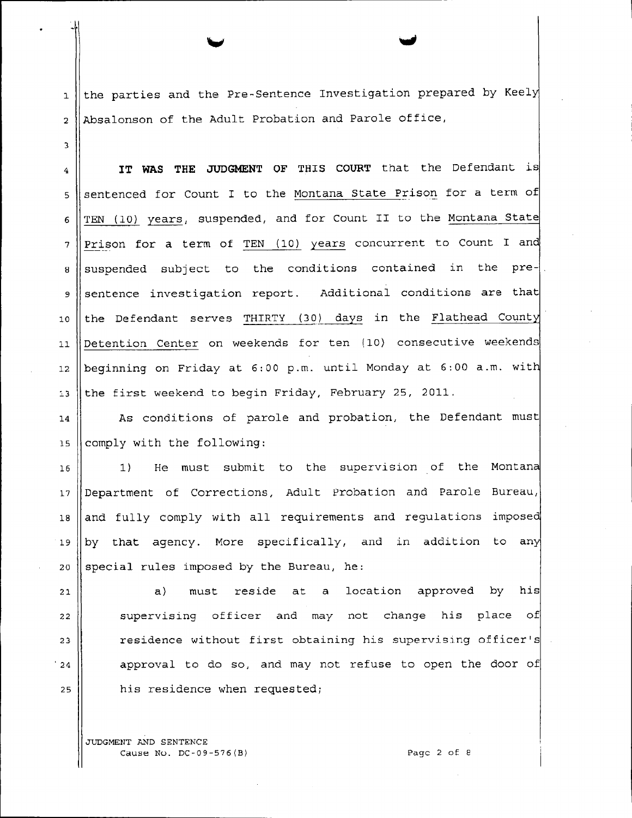$1$  | the parties and the Pre-Sentence Investigation prepared by Keely 2 || Absalonson of the Adult Probation and Parole office,

4 **IT WAS THE JUDGMENT OF THIS COURT** that the Defendant is 5 || sentenced for Count I to the Montana State Prison for a term of  $6$  TEN (10) years, suspended, and for Count II to the Montana State  $7$  ||Prison for a term of TEN (10) years concurrent to Count I and  $8$  suspended subject to the conditions contained in the pre-9 Sentence investigation report. Additional conditions are that 10 || the Defendant serves THIRTY (30) days in the Flathead County 11 || Detention Center on weekends for ten (10) consecutive weekends 12  $\parallel$  beginning on Friday at 6:00 p.m. until Monday at 6:00 a.m. with 13 the first weekend to begin Friday, February 25, 2011.

14 || As conditions of parole and probation, the Defendant must 15  $\parallel$  comply with the following:

16 1 1) He must submit to the supervision of the Montana 17 Department of Corrections, Adult Probation and Parole Bureau,  $18$  and fully comply with all requirements and regulations imposed 19 | by that agency. More specifically, and in addition to any 20 Special rules imposed by the Bureau, he:

 a) must reside at a location approved by his  $\parallel$  supervising officer and may not change his place of  $\parallel$  residence without first obtaining his supervising officer's  $|24|$  approval to do so, and may not refuse to open the door of || his residence when requested;

JUDGMENT AND SENTENCE Cause Nu. DC-09-576(B) Page 2 of e

3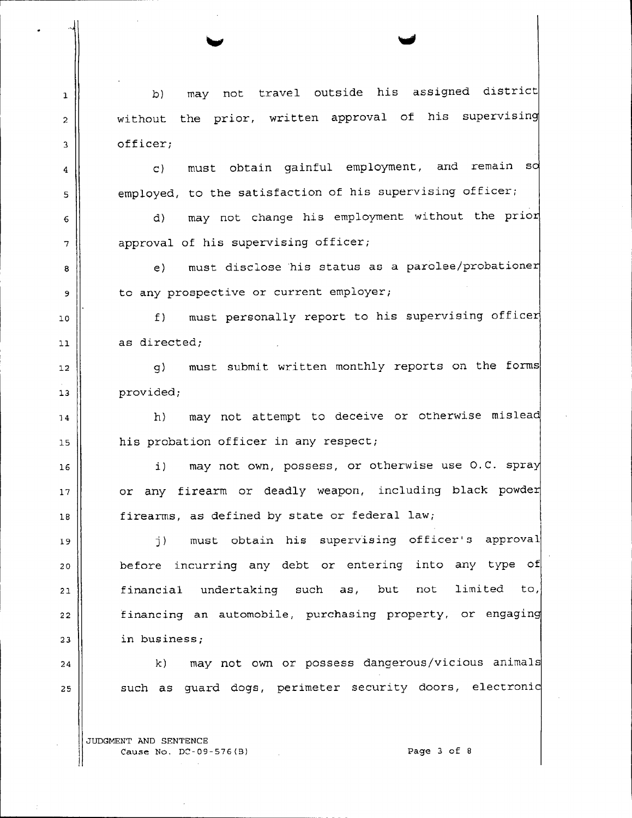1 d) may not travel outside his assigned district without the prior, written approval of his supervising officer;

> employed, to the satisfaction of his supervising officer; must obtain gainful employment, and remain s c)

approval of his supervising officer; may not change his employment without the prio d)

to any prospective or current employer; must disclose his status as a parolee/probatione e)

must personally report to his supervising officer f)  $11$  as directed;

12 g) must submit written monthly reports on the forms 13 | provided;

his probation officer in any respect; h} may not attempt to deceive or otherwise mislea

or any firearm or deadly weapon, including black powde i) may not own, possess, or otherwise use o.c. spra 18  $\parallel$  firearms, as defined by state or federal law;

19 j} must obtain his supervising officer's approval 20 || before incurring any debt or entering into any type of  $21$  financial undertaking such as, but not limited to, 22 | financing an automobile, purchasing property, or engaging  $23$   $\parallel$  in business;

24 k) may not own or possess dangerous/vicious animals  $25$  such as quard dogs, perimeter security doors, electronic

JUDGMENT AND SENTENCE Cause No. DC-09-576{B} Page 3 of 8

6

5

4

2

3

7

8

9

10

14

15

16

17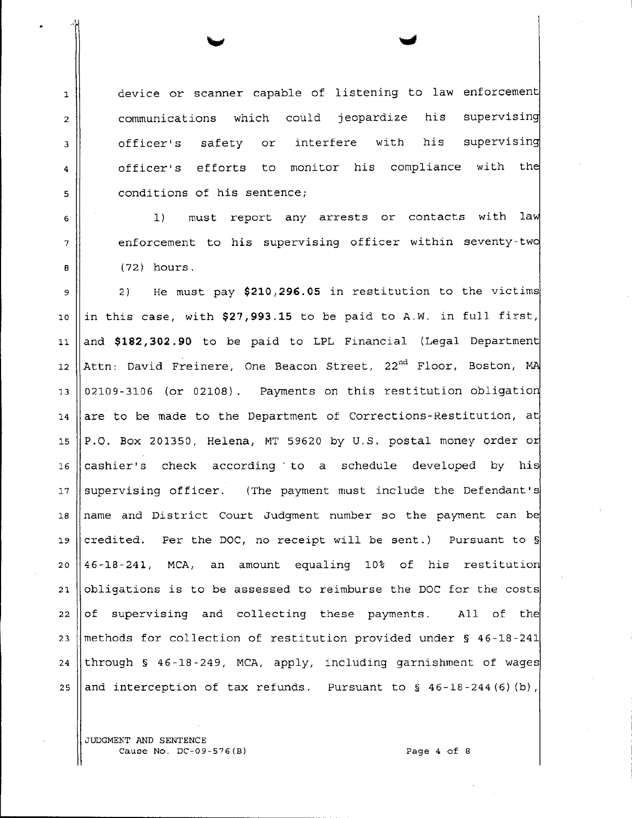1 device or scanner capable of listening to law enforcement 2 communications which could jeopardize 3 officer's safety or interfere with his his supervisin supervisin 4 || officer's efforts to monitor his compliance with the 5 || conditions of his sentence;

6 1) must report any arrests or contacts with law  $7$  || enforcement to his supervising officer within seventy-two  $8 \parallel$  (72) hours.

9 2 ) He must pay **\$210,296.05** in restitution to the victims 10 In this case, with  $$27,993.15$  to be paid to A.W. in full first, 11 and **\$182,302.90** to be paid to LPL Financial (Legal Department 14 are to be made to the Department of Corrections-Restitution, at 12  $\parallel$  Attn: David Freinere, One Beacon Street, 22<sup>nd</sup> Floor, Boston, MA 15  $\|P.O.$  Box 201350, Helena, MT 59620 by U.S. postal money order or 13  $\parallel$  02109-3106 (or 02108). Payments on this restitution obligation 16 cashier's check according to a schedule developed by his 17 Supervising officer. (The payment must include the Defendant's 18  $\parallel$  name and District Court Judgment number so the payment can be 19 credited. Per the DOC, no receipt will be sent.) Pursuant to  $\frac{1}{3}$ 20  $|46-18-241$ , MCA, an amount equaling 10% of his restitution 21  $\vert$  obligations is to be assessed to reimburse the DOC for the costs 22  $\vert \vert$  of supervising and collecting these payments. All of the 23 || methods for collection of restitution provided under  $S$  46-18-241 24 through  $\frac{1}{5}$  46-18-249, MCA, apply, including garnishment of wages 25 and interception of tax refunds. Pursuant to  $\S$  46-18-244 (6)(b),

JUDGMEKT AND SENTENCE Cause No. DC-09-576(B) Cause 4 of 8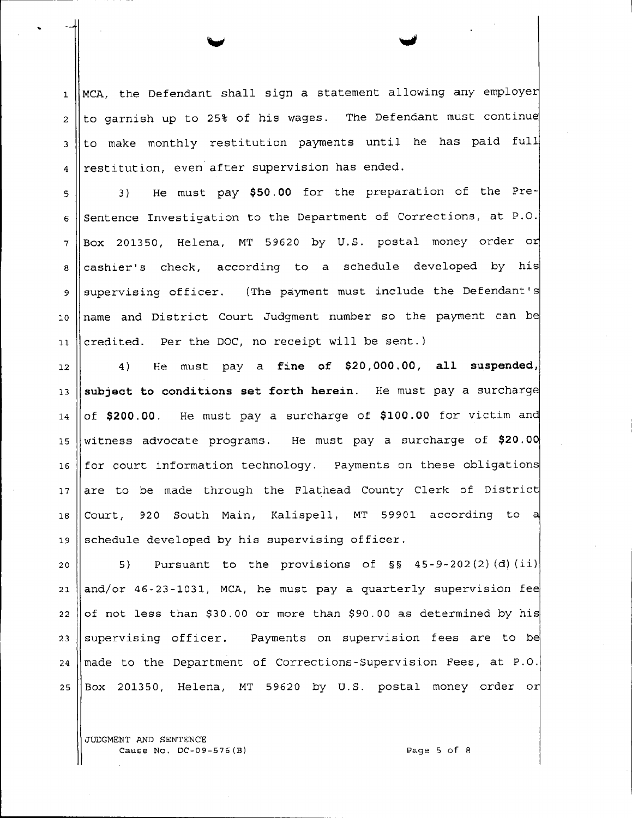$1$  MCA, the Defendant shall sign a statement allowing any employer  $2 \parallel$  to garnish up to 25% of his wages. The Defendant must continue 3 Ito make monthly restitution payments until he has paid full  $4$  restitution, even after supervision has ended.

5 || 3) He must pay \$50.00 for the preparation of the Pre- $6 \parallel$  Sentence Investigation to the Department of Corrections, at P.O.  $7 \parallel$  Box 201350, Helena, MT 59620 by U.S. postal money order or 8 cashier's check, according to a schedule developed by his 9 || supervising officer. (The payment must include the Defendant's 10 || name and District Court Judgment number so the payment can be 11 || credited. Per the DOC, no receipt will be sent.)

12 4) He must pay a **fine of \$20,000.00, all suspended,** 13 **subject to conditions set forth herein.** He must pay a surcharge  $14 \parallel$  of \$200.00. He must pay a surcharge of \$100.00 for victim and 15 witness advocate programs. He must pay a surcharge of **\$20.00** 16 | for court information technology. Payments on these obligations 17 are to be made through the Flathead County Clerk of District 16 Court, 920 South Main, Kalispell, MT 59901 according to a 19 Schedule developed by his supervising officer.

 $\parallel$  5) Pursuant to the provisions of  $\S$ § 45-9-202(2)(d)(ii) and/or 46-23-1031, MCA, he must pay a quarterly supervision fee of not less than \$30.00 or more than \$90.00 as determined by his 23 Supervising officer. Payments on supervision fees are to be made to the Department of Corrections-Supervision Fees, at P.O.  $\parallel$  Box 201350, Helena, MT 59620 by U.S. postal money order or

JUDGMENT AND SENTENCE Cause No. DC-09-576(B) Page 5 of R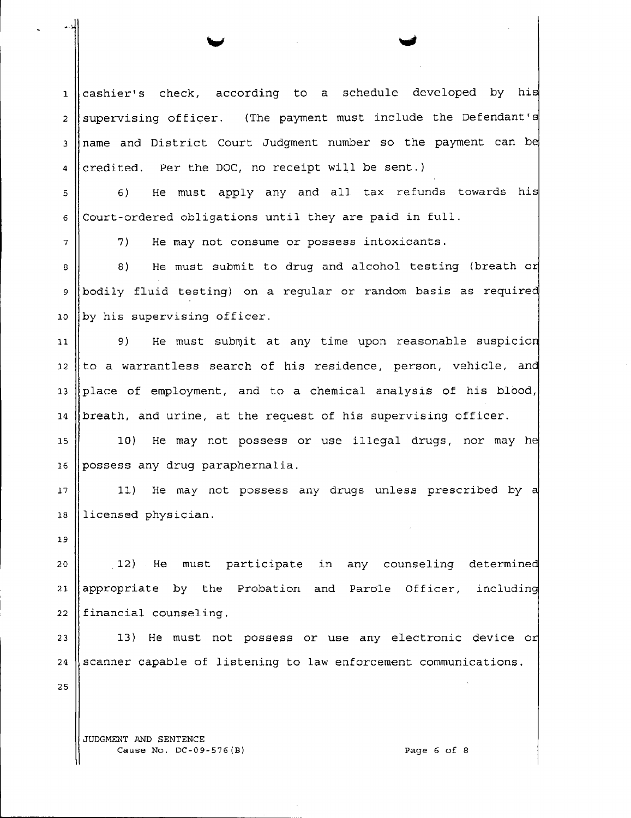1 cashier's check, according to a schedule developed by his 2 supervising officer. (The payment must include the Defendant's 3 name and District Court Judgment number so the payment can be 4 credited. Per the DOC, no receipt will be sent.)

5 || 6) He must apply any and all tax refunds towards his  $6 \mid$  Court-ordered obligations until they are paid in full.

 $7 \parallel 7$  7) He may not consume or possess intoxicants.

10 by his supervising officer.  $9$  bodily fluid testing) on a regular or random basis as required He must submit to drug and alcohol testing (breath or  $8 \n\parallel 8$ 

12  $|$  to a warrantless search of his residence, person, vehicle, and He must submit at any time upon reasonable suspicion 9) 11 13 place of employment, and to a chemical analysis of his blood, 14  $\beta$  breath, and urine, at the request of his supervising officer.

15 10) He may not possess or use illegal drugs, nor may he 16 possess any drug paraphernalia.

17 || 11) He may not possess any drugs unless prescribed by a 18 licensed physician.

19

21  $\parallel$  appropriate by the Probation and Parole Officer, including  $22$  financial counseling. 12) He must participate in any counseling determine 20

13) He must not possess or use any electronic device or 23 24 Scanner capable of listening to law enforcement communications.

25

JUDGMENT AND SENTENCE Cause No. DC-09-576(B) Page 6 of 8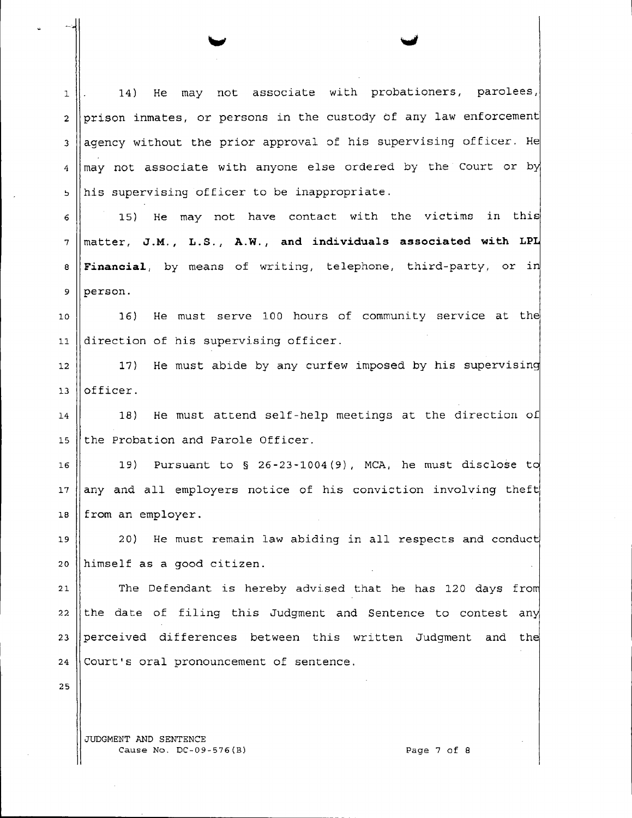1. 14) He may not associate with probationers, parolees,  $2$  ||prison inmates, or persons in the custody of any law enforcement  $3$  | agency without the prior approval of his supervising officer. He  $4 \parallel$  may not associate with anyone else ordered by the Court or by  $~\frac{1}{2}$  his supervising officer to be inappropriate.

 15) *He* may not have contact with the victims in this matter, **J.M., L.S., A.W., and indivi.duals associated with LP Financial**, by means of writing, telephone, third-party, or in  $9$  person.

10 16) He must serve 100 hours of community service at the 11 direction of his supervising officer.

12  $\vert$  17) He must abide by any curfew imposed by his supervising 13 lofficer.

14  $\parallel$  18) He must attend self-help meetings at the direction of 15 the Probation and Parole Officer.

16  $\parallel$  19) Pursuant to § 26-23-1004(9), MCA, he must disclose to  $17$  any and all employers notice of his conviction involving theft 18 from an employer.

19 || 20) He must remain law abiding in all respects and conduct 20 himself as a good citizen.

21  $\parallel$  The Defendant is hereby advised that he has 120 days from 22 the date of filing this Judgment and Sentence to contest any 23 perceived differences between this written Judgment and the  $24$  Court's oral pronouncement of sentence.

25

JUDGMENT AND SENTENCE Cause No. DC-09-576(B) Page 7 of 8